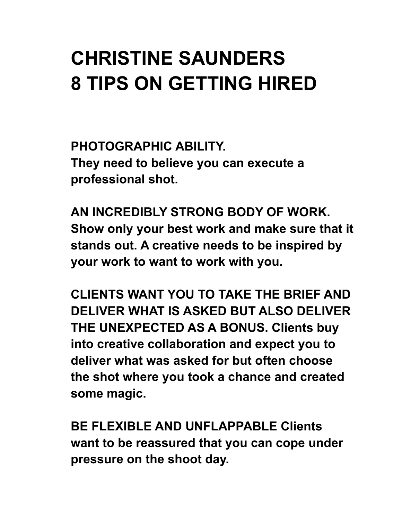## **CHRISTINE SAUNDERS 8 TIPS ON GETTING HIRED**

**PHOTOGRAPHIC ABILITY. They need to believe you can execute a professional shot.**

**AN INCREDIBLY STRONG BODY OF WORK. Show only your best work and make sure that it stands out. A creative needs to be inspired by your work to want to work with you.**

**CLIENTS WANT YOU TO TAKE THE BRIEF AND DELIVER WHAT IS ASKED BUT ALSO DELIVER THE UNEXPECTED AS A BONUS. Clients buy into creative collaboration and expect you to deliver what was asked for but often choose the shot where you took a chance and created some magic.**

**BE FLEXIBLE AND UNFLAPPABLE Clients want to be reassured that you can cope under pressure on the shoot day.**